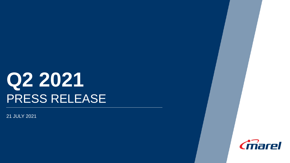# **Q2 2021** PRESS RELEASE

21 JULY 2021

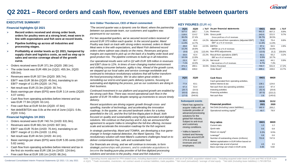

### **Q2 2021 – Record orders and cash flow, revenues and EBIT stable between quarters**

#### **EXECUTIVE SUMMARY**

#### **Financial highlights Q2 2021**

- **Record orders received and strong order book, orders for poultry were at a strong level, meat were in line with expectations and fish were at record levels.**
- **Pipeline building up across all industries and processing stages.**
- **Profitability at similar levels as Q1 2021, hampered by supply chain and logistics costs, as well as step up in sales and service coverage ahead of the growth curve.**
- Orders received were EUR 371.3m (2Q20: 280.1m).
- The order book was EUR 499.1m (1Q21: 455.3m, 2Q20: 439.0m).
- Revenues were EUR 327.5m (2Q20: 305.7m).
- $EBIT<sup>1</sup>$  was EUR 38.6m (2Q20: 45.0m), translating to an EBIT<sup>1</sup> margin of 11.8% (2Q20: 14.7%).
- Net result was EUR 23.3m (2Q20: 30.7m).
- Basic earnings per share (EPS) were EUR 3.14 cents (2Q20: 4.07 cents).
- Cash flow from operating activities before interest and tax was EUR 77.9m (2Q20: 63.1m).
- Free cash flow at EUR 54.6m (2Q20: 47.6m)
- Net debt/EBITDA was 0.8x at the end of June (1Q21: 0.8x, 2Q20: 0.6x).

#### **Financial highlights 1H 2021**

- Orders received were EUR 740.7m (1H20: 631.9m).
- Revenues were EUR 661.5m (1H20: 607.3m).
- EBIT<sup>1</sup> was EUR 76.6m (1H20: 70.4m), translating to an EBIT<sup>1</sup> margin of 11.6% (1H20: 11.6%).
- Net result was EUR 44.5m (1H20: 44.1m).
- Basic earnings per share (EPS) were EUR 5.95 cents (1H20: 5.82 cents).
- Cash flow from operating activities before interest and tax in the first six months was EUR 138.1m (1H20: 124.6m).
- Free cash flow at EUR 100.1m (1H20: 86.2m).

#### **Arni Oddur Thordarson, CEO of Marel commented:**

*"The second quarter was a dynamic one for Marel, where the partnership between our passionate team, our customers and suppliers was paramount to our success.* 

*For two sequential quarters, we've secured record orders received of around EUR 370 million each quarter. In the second quarter, Marel Poultry was back on track with strong orders received, orders in Marel Meat were in line with expectations, and Marel Fish delivered record orders where salmon was clearly on the menu. Revenues and gross margins are expected to pick-up on the back of a healthy order book and good product mix. The pipeline continues to build up in all industries.*

*Our operational results were soft in Q2 with EUR 328 million in revenues and EBIT close to 12%. In times of ever-changing market environment and shifting consumer behavior, agility is key. Ahead of the growth curve, we stepped up our local sales and service coverage worldwide and continued to introduce revolutionary solutions that will further transform the food processing industry. We´ve also taken great strides in remodeling our end-to-end spare parts delivery systems, focusing on automating and digitizing the process, just as our customers are doing in their business.* 

*Continued investment in our platform and acquired growth are enabled by the strong cash flow. There was record operational cash flow in the quarter of EUR 78 million despite ramping up inventories to secure timely delivery.* 

*Recent acquisitions are driving organic growth through cross- and upselling, transfer of technology, and accelerating the innovation roadmap. In the quarter, we secured landmark orders for a turkey greenfield in the US, and the first full-line tilapia plant in Brazil, both focused on quality and sustainability using highly automated and digitized solutions. We continue on that journey and in July we announced the agreement to acquire Valka to strengthen the full-line offering, increase scale and accelerate the innovation roadmap for the fish segment.* 

*In strategic partnership, Marel and TOMRA, are developing a true gamechanger in foreign material detection, the Marel Spectra. This revolutionary solution will meet Marel's customers challenges head on to deliver contamination free, safe and sustainable food.*

*Our financials are strong, and we will continue to innovate, to form strategic partnerships with pioneers, and to undertake acquisitions to become the leading pure-play provider of full-line digitized processing solutions and services to the poultry, meat and fish industries."*

### **KEY FIGURES** (EUR m)

| <b>2Q21</b> | <b>2Q20</b> |           | $\wedge$ YoY As per financial statements        | 6M21   | 6M20  | $\wedge$ YoY |
|-------------|-------------|-----------|-------------------------------------------------|--------|-------|--------------|
| 327.5       | 305.7       | 7.1%      | Revenues                                        | 661.5  | 607.3 | 8.9%         |
| 118.6       | 114.2       | 3.9%      | Gross profit                                    | 243.0  | 221.5 | 9.7%         |
| 36.2%       | 37.4%       |           | Gross profit as a % of revenues                 | 36.7%  | 36.5% |              |
| 38.6        | 45.0        | $-14.2\%$ | Adjusted result from operations (Adjusted EBIT) | 76.6   | 70.4  | 8.8%         |
| 11.8%       | 14.7%       |           | $EBIT1$ as a % of revenues                      | 11.6%  | 11.6% |              |
| 49.8        | 56.9        | $-12.5%$  | <b>EBITDA</b>                                   | 97.1   | 94.5  | 2.8%         |
| 15.2%       | 18.6%       |           | EBITDA as a % of revenues                       | 14.7%  | 15.6% |              |
| (5.6)       | (2.6)       | 115.4%    | Non-IFRS adjustments                            | (13.5) | (5.2) | 159.6%       |
| 33.0        | 42.4        | -22.2%    | Result from operations (EBIT)                   | 63.1   | 65.2  | $-3.2%$      |
| 10.1%       | 13.9%       |           | EBIT as a % of revenues                         | 9.5%   | 10.7% |              |
| 23.3        | 30.7        | $-24.1%$  | Net result                                      | 44.5   | 44.1  | 0.9%         |
| 7.1%        | 10.0%       |           | Net result as a % of revenues                   | 6.7%   | 7.3%  |              |
| 371.3       | 280.1       | 32.6%     | <b>Orders Received</b>                          | 740.7  | 631.9 | 17.2%        |
| 499.1       | 439.0       |           | Order Book <sup>2</sup>                         | 499.1  | 439.0 | 13.7%        |

| <b>2Q21</b> | 2Q20                                                              | Cash flows                                                         | 6M21   | 6M20    |
|-------------|-------------------------------------------------------------------|--------------------------------------------------------------------|--------|---------|
|             |                                                                   | Cash generated from operating activities,<br>before interest & tax |        |         |
| 77.9        | 63.1                                                              |                                                                    | 138.1  | 124.6   |
| 67.3        | 53.4                                                              | Net cash from (to) operating activities                            | 122.2  | 97.4    |
| (20.7)      | (10.3)                                                            | Investing activities                                               | (52.4) | (20.8)  |
| (63.6)      | (584.0)                                                           | Financing activities                                               | (67.0) | (222.2) |
| (17.0)      | (540.9)                                                           | Net cash flow                                                      | 2.8    | (145.6) |
|             |                                                                   |                                                                    |        |         |
|             |                                                                   |                                                                    |        |         |
|             | <b>Subsequent events</b>                                          |                                                                    | 30/06  | 31/12   |
|             | • Marel has agreed to                                             | <b>Financial position</b>                                          | 2021   | 2020    |
|             | acquire Valka ehf., an                                            | Net Debt (Including Lease liabilities)                             | 182.3  | 205.2   |
|             | Icelandic provider of                                             | Operational working capital <sup>3</sup>                           | 49.7   | 78.9    |
|             | advanced processing<br>solutions for the<br>global fish industry. |                                                                    |        |         |

| Subject to anti-trust                                                  | <b>Key ratios</b>                             | 6M21  | 6M20  |
|------------------------------------------------------------------------|-----------------------------------------------|-------|-------|
| and customary                                                          | Current ratio                                 | 1.0   | 1.2   |
| closing conditions.<br><b>Iceland and Norway</b><br>and has around EUR | Quick ratio                                   | 0.6   | 0.8   |
| Valka is based in                                                      | Return on equity <sup>4</sup>                 | 9.3%  | 9.5%  |
|                                                                        | Leverage <sup>5</sup>                         | 0.8   | 0.6   |
|                                                                        | Number of outstanding shares (millions)       | 753.8 | 747.9 |
| 17m in annual<br>revenues and 105                                      | Market capitalization in EUR billion based on |       |       |
| employees.                                                             | exchange rate at end of period                | 4.5   | 3.5   |
|                                                                        | Basic earnings per share in EUR cents         | 5.95  | 5.82  |

and customa closing cond • Valka is based Iceland and and has arou 17m in annu revenues an employees.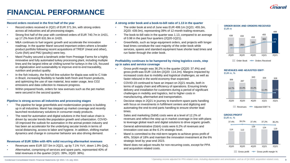

# **FINANCIAL PERFORMANCE**

#### **Record orders received in the first half of the year**

- Record orders received in 2Q21 of EUR 371.3m, with strong orders across all industries and all processing stages.
- Strong first half of the year with combined orders of EUR 740.7m in 1H21, up 17.2% from EUR 631.9m in 1H20.
- M&A continues to fuel organic growth and accelerate the innovation roadmap. In the quarter Marel secured important orders where a broader product portfolio following recent acquisitions of TREIF (meat and other), Curio (fish) and PMJ (poultry) were key.
- Marel Poultry secured a landmark order from Prestage Farms for a highly innovative and fully automated turkey processing plant, including multiple lines and the largest inline air chilling tunnel for turkeys in the US, focused on digitalization and sustainability to improve end-to-end traceability, nutrition and product quality.
- In the fish industry, the first full-line solution for tilapia was sold to C.Vale in Brazil, increasing flexibility to handle both fresh and frozen products, and optimizing the use of raw material, less water usage, less CO2 emissions and data collection to measure progress.
- Within prepared foods, orders for new avenues such as the pet market were secured in the second quarter.

#### **Pipeline is strong across all industries and processing stages**

- The pipeline for large greenfields and modernization projects is building up in all industries. Marel has stepped up market coverage and recently launched revolutionary solutions in consumer-ready products.
- The need for automation and digital solutions in the food value chain is driven by secular trends like population growth and urbanization. COVID-19 improved the outlook for automation in the animal protein industry and has been an accelerator for the underlying secular trends in terms of social distancing, access to labor and hygiene. In addition, shifting market dynamics and change in consumer behavior are also driving demand.

### **Revenues of EUR 328m with 40% solid recurring aftermarket revenues**

- Revenues were EUR 327.5m in 2Q21, up by 7.1% YoY, down 1.9% QoQ.
- Aftermarket, comprising of services and spare parts, represented 40% of total revenues in the quarter (1Q21: 39%, 2Q20: 38%).

#### **A strong order book and a book-to-bill ratio of 1.13 in the quarter**

- The order book at end of June was EUR 499.1m (1Q21: 455.3m, 2Q20: 439.0m), representing 39% of 12-month trailing revenues.
- The book-to-bill ratio in the quarter was 1.13, compared to an average of 0.98 in the past four quarters (2Q20-1Q21).
- Greenfields, such as large equipment orders, and projects with longer lead times constitute the vast majority of the order book while services, spares and standard equipment have shorter lead times and run faster through the order book.

#### **Profitability continues to be hampered by rising logistics costs, step up in sales and service coverage**

- Gross profit margin was 36.2% in the quarter (2Q20: 37.4%) and gross profit was EUR 118.6m (2Q20: 114.2m). Margins impacted by increased costs due to mobility and logistical challenges, as well as faster rebound in the world economy than expected.
- COVID-19 continued to have an impact on 2Q21 results, both in terms of supply chain and efficiency of operations. Ensuring timely delivery and installation for customers during a period of significant challenges in mobility and logistics, led to higher costs in manufacturing, aftermarket and transportation.
- Decisive steps in 2Q21 in journey to transform spare parts handling with focus on investments in fulfillment centers and digitizing and automating the end-to-end parts handling to ensure shorter lead times.
- Sales and marketing (S&M) costs were at a level of 12.2% of revenues and reflect the step up in market coverage in line with plans to leverage global reach and digital solutions to drive organic growth.
- General administrative (G&A) costs were 6.2% of revenues and innovation cost was at the 6.1% strategic level.
- Marel is committed to the mid-term targets to achieve gross profit of 40%, SG&A of 18% and maintain the innovation investment at the 6% strategic level by year-end 2023.
- Marel does not adjust results for non-recurring costs, except for PPA and acquisition related costs.



#### **REVENUES AND ADJUSTED EBIT<sup>1</sup>** EUR m, %





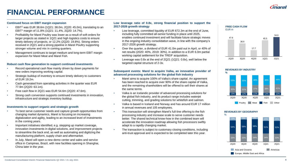

# **FINANCIAL PERFORMANCE**

#### **Continued focus on EBIT margin expansion**

- $EBIT<sup>1</sup>$  was EUR 38.6m (1Q21: 38.0m, 2Q20: 45.0m), translating to an EBIT<sup>1</sup> margin of 11.8% (1Q21: 11.4%, 2Q20: 14.7%).
- Profitability for Marel Poultry was lower as a result of soft orders for larger projects as stated in 1Q21 and high logistics costs to ensure timely delivery of projects, or 12.2% (2Q20: 19.8%). Strong orders received in 2Q21 and a strong pipeline in Marel Poultry supporting stronger volume and mix in coming quarters.
- Management continues to target medium and long-term EBIT margin expansion for Marel Meat and Marel Fish.

#### **Robust cash flow generation to support continued investments**

- Record operational cash flow mainly driven by down payments for new orders improving working capital.
- Strategic buildup of inventory to ensure timely delivery to customers of EUR 19.2m.
- Cash generated from operating activities in the quarter was EUR 77.9m (2Q20: 63.1m).
- Free cash flow in 2Q21 was EUR 54.6m (2Q20: 47.6m).
- Strong cash conversion supports continued investments in innovation, infrastructure and strategic inventory buildup.

#### **Investments to support organic and strategic growth**

- To best serve customer needs and capture growth opportunities from changing market dynamics, Marel is focusing on increasing digitalization and agility, leading to an increased level of investments in the coming years.
- Important initiatives identified, e.g. stepping up market coverage, innovation investments in digital solutions, and improvement projects to streamline the back end, as well as automating and digitizing the manufacturing platform, supply chain and aftermarket.
- In July, Marel will open a new demo center and sales and service office in Campinas, Brazil, with new facilities opening in Shanghai, China later in the year.

#### **Low leverage ratio of 0.8x, strong financial position to support the 2017-2026 growth strategy**

- Low leverage, committed liquidity of EUR 672.3m at the end of June, including fully committed all-senior funding in place until 2025, enables continued investment and will facilitate future strategic moves in the ongoing industry consolidation wave, in line with the company's 2017-2026 growth strategy.
- Over the quarter, a dividend of EUR 41.0m paid out in April, or 40% of net results (2020: 40%, 2019: 30%), in addition to a EUR 6.0m partial working capital settlement for the TREIF acquisition.
- Leverage was 0.8x at the end of 2Q21 (1Q21: 0.8x), well below the targeted capital structure of 2-3x.

#### **Subsequent events: Marel to acquire Valka, an innovative provider of advanced processing solutions for the global fish industry**

- Marel aims to acquire 100% of Valka's share capital. An agreement has been reached to acquire over 90% of the share capital of Valka, and the remaining shareholders will be offered to sell their shares at the same terms.
- Valka is an Icelandic provider of advanced processing solutions for the global fish industry, and its product range includes waterjet cutting, trimming, and grading solutions for whitefish and salmon.
- Valka is based in Iceland and Norway and has around EUR 17 million in annual revenues and 105 employees.
- This transaction will strengthen Marel's full-line offering to the fish processing industry and increase scale to serve customer needs better. The shared technical know-how in the combined team will accelerate the innovation roadmap allowing fish processors swiftly adapt to a rapidly changing market.
- The transaction is subject to customary closing conditions, including anti-trust approval and is expected to be completed later this year.

#### **FREE CASH FLOW** EUR m





#### **REVENUES BY GEOGRAPHY**

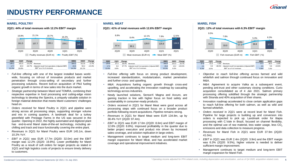# **INDUSTRY PERFORMANCE**

#### **MAREL POULTRY MAREL MEAT MAREL FISH**

**2Q21: 44% of total revenues with 12.2% EBIT<sup>1</sup> margin 2Q21: 41% of total revenues with 12.6% EBIT<sup>1</sup> margin 2Q21: 12% of total revenues with 6.3% EBIT<sup>1</sup> margin**



| 2021  | 2Q20  | Change    |                                                        | 6M21  | 6M20  | Change   |
|-------|-------|-----------|--------------------------------------------------------|-------|-------|----------|
| 145.1 | 161.5 | $-10.2\%$ | Revenues                                               | 304.2 | 312.6 | $-2.7%$  |
| 17.7  | 32.0  |           | -44.7% Adjusted result from operations (Adjusted EBIT) | 43.5  | 50.2  | $-13.3%$ |
| 12.2% | 19.8% |           | $EBIT1$ as a % of revenues                             | 14.3% | 16.1% |          |

- *Full-line offering* with one of the largest installed bases worldwide, focusing on roll-out of innovative products and market penetration through cross-selling of secondary and further processing solutions. Recent bolt-on acquisition of PMJ fueling organic growth in terms of new sales into the duck market.
- *Strategic partnership* between Marel and TOMRA, combining their respective expertise in food processing and cutting-edge vision technology to develop the Spectra, a uniquely valuable solution in foreign material detection that meets Marel customers' challenges head on.
- *Orders received* for Marel Poultry in 2Q21 and pipeline were strong across all processing steps, supporting stronger volume and mix in coming quarters. A landmark deal for a turkey greenfield with Prestage Farms in the US was secured in the quarter. Opening in 2022, the highly automated and digitized plant has end-to-end Marel state-of-the-art technology, including airchilling and track and trace functionality covering the entire plant.
- *Revenues* in 2Q21 for Marel Poultry were EUR 145.1m, down 10.2% YoY.
- *EBIT in 2Q21* was EUR 17.7m (2Q20: 32.0m) and the EBIT margin was 12.2% (2Q20: 19.8%). Lower profitability for Marel Poultry as a result of soft orders for larger projects as stated in 1Q21 and high logistics costs of projects to ensure timely delivery to customers.



| <b>2Q21</b> | <b>2Q20</b> | Change |                                                 | 6M21  | 6M20  | Change |
|-------------|-------------|--------|-------------------------------------------------|-------|-------|--------|
| 134.8       | 97.4        | 38.4%  | Revenues                                        | 260.6 | 201.0 | 29.7%  |
| 17.0        | 8.6         | 97.7%  | Adjusted result from operations (Adjusted EBIT) | 26.8  | 13.2  | 103.0% |
| 12.6%       | 8.8%        |        | $EBIT1$ as a % of revenues                      | 10.3% | 6.6%  |        |

- *Full-line offering* with focus on strong product development, increased standardization, modularization, market penetration and further cross- and upselling.
- *M&A*: Acquisitions fueling organic growth through cross-and upselling, and accelerating the innovation roadmap by cascading technology across industries.
- Newly launched solutions, SensorX Magna and Accuro, are gaining traction in line with higher focus on food safety and sustainability in consumer-ready products.
- *Orders received* in 2Q21 for Marel Meat were good across all processing steps with continued focus on a broader product portfolio following recent acquisitions. Pipeline remains strong.
- *Revenues* in 2Q21 for Marel Meat were EUR 134.8m, up by 38.4% YoY (2Q20: 97.4m).
- *EBIT* in 2Q21 was EUR 17.0m (2Q20: 8.6m) and EBIT margin of 12.6% (2Q20: 8.8%). Improved profitability in the quarter due to better project execution and product mix driven by increased sales coverage, and solution replication in large orders.
- Management continues to target medium and long-term EBIT margin expansion for Marel Meat, and has accelerated market coverage and operational improvement initiatives.



| <b>2Q21</b> | 2Q20 | Change  |                                                        | 6M21 | 6M20 | Change   |
|-------------|------|---------|--------------------------------------------------------|------|------|----------|
| 37.9        | 41.0 | $-7.6%$ | Revenues                                               | 77.7 | 80.4 | $-3.4%$  |
| 2.4         | 3.9  |         | -38.5% Adjusted result from operations (Adjusted EBIT) | 4.5  | 5.6  | $-19.6%$ |
| 6.3%        | 9.5% |         | $EBIT1$ as a % of revenues                             | 5.8% | 7.0% |          |

- *Objective to reach full-line offering* across farmed and wild whitefish and salmon through continued focus on innovation and M&A.
- *M&A:* Agreement to acquire Valka as a subsequent event, pending anti-trust and other customary closing conditions. Curio acquisition consolidated as of 4 Jan 2021. Salmon primary processing offering solidified through the strategic partnership with Stranda and 40% acquisition of their shares.
- Innovation roadmap accelerated to close certain application gaps to reach full-line offering for both salmon, as well as wild and farmed whitefish.
- *Orders received* in 2Q21 were at record level for Marel Fish. Pipeline for large projects is building up and conversion into orders is expected to pick up. Landmark order for tilapia processing with C.Vale in Brazil, focused on channel flexibility, and the optimal use of raw material, less water usage, less  $CO<sub>2</sub>$ emissions and data collection to measure progress.
- *Revenues* for Marel Fish in 2Q21 were EUR 37.9m (2Q20: 41.0m).
- *EBIT* in 2Q21 was EUR 2.4m (2Q20: 3.9m) and the EBIT margin was 6.3% (2Q20: 9.5%), higher volume is needed to deliver sufficient margin improvement.
- Management continues to target medium and long-term EBIT margin expansion for Marel Fish.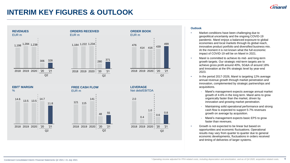### **INTERIM KEY FIGURES & OUTLOOK**



#### **Outlook**

- Market conditions have been challenging due to geopolitical uncertainty and the ongoing COVID-19 pandemic. Marel enjoys a balanced exposure to global economies and local markets through its global reach, innovative product portfolio and diversified business mix. At the moment it is not known what the full economic impact of COVID-19 will be on Marel in 2021.
- Marel is committed to achieve its mid- and long-term growth targets. Our strategic mid-term targets are to achieve gross profit around 40%, SG&A of around 18% and Innovation at the 6% strategic level by year-end 2023.
- In the period 2017-2026, Marel is targeting 12% average annual revenue growth through market penetration and innovation, complemented by strategic partnerships and acquisitions.
	- Marel's management expects average annual market growth of 4-6% in the long term. Marel aims to grow organically faster than the market, driven by innovation and growing market penetration.
	- Maintaining solid operational performance and strong cash flow is expected to support 5-7% revenues growth on average by acquisition.
	- Marel's management expects basic EPS to grow faster than revenues.
- Growth is not expected to be linear but based on opportunities and economic fluctuations. Operational results may vary from quarter to quarter due to general economic developments, fluctuations in orders received and timing of deliveries of larger systems.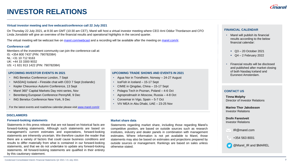# **INVESTOR RELATIONS**

#### **Virtual investor meeting and live webcast/conference call 22 July 2021**

On Thursday 22 July 2021, at 8:30 am GMT (10:30 am CET), Marel will host a virtual investor meeting where CEO Arni Oddur Thordarson and CFO Linda Jonsdottir will give an overview of the financial results and operational highlights in the second quarter.

The virtual meeting will be webcast live on [marel.com/webcast](http://www.marel.com/webcast) and a recording will be available after the meeting on [marel.com/ir.](https://marel.com/ir)

#### **Conference call**

Members of the investment community can join the conference call at: IS: +354 800 7437 (PIN: 79078208#) NL: +31 10 712 9163 UK: +44 33 3300 9032 US: +1 631 913 1422 (PIN: 79078208#)

#### **UPCOMING INVESTOR EVENTS IN 2021**

- ING Benelux Conference London, 7 Sept
- NASDAQ Iceland Fireside chat with CEO 7 Sept (Icelandic)
- Kepler Cheuvreux Autumn Conference, 13 Sept
- Marel 360° Capital Markets Day mini-series, Nov
- Berenberg European Conference Pennyhill, 9 Dec
- ING Benelux Conference New York, 9 Dec

For the latest events and roadshow calendar please visit [www.marel.com/ir](http://www.marel.com/ir)

#### **DISCLAIMERS**

### **Investor Relations Forward-looking statements Forward-looking statements Forward-looking statements Forward-looking statements Forward-looking statements Forward-looking statements**

Statements in this press release that are not based on historical facts are forward-looking statements. Although such statements are based on management's current estimates and expectations, forward-looking statements are inherently uncertain. We therefore caution the reader that there are a variety of factors that could cause business conditions and results to differ materially from what is contained in our forward-looking statements, and that we do not undertake to update any forward-looking statements. All forward-looking statements are qualified in their entirety by this cautionary statement.

#### **UPCOMING TRADE SHOWS AND EVENTS IN 2021**

- Agua Nor in Trondheim, Norway 24-27 August
- IceFish in Iceland 15-17 Sept
- CIMIE in Qingdao, China 15-17 Sept
- Polagra Tech in Poznan, Poland 4-6 Oct
- Agroprodmash in Moscow, Russia 4-8 Oct
- Conxemar in Vigo, Spain 5-7 Oct
- VIV MEA in Abu Dhabi, UAE 23-25 Nov

#### **Market share data**

Statements regarding market share, including those regarding Marel's competitive position, are based on outside sources such as research institutes, industry and dealer panels in combination with management estimates. Where information is not yet available to Marel, those statements may also be based on estimates and projections prepared by outside sources or management. Rankings are based on sales unless otherwise stated.

#### **FINANCIAL CALENDAR**

- Marel will publish its financial results according to the below financial calendar:
	- Q3 20 October 2021
	- $\bullet$  Q4 2 February 2022
- Financial results will be disclosed and published after market closing of both Nasdaq Iceland and Euronext Amsterdam.

#### **CONTACT US**

**Tinna Molphy** Director of Investor Relations

**Marino Thor Jakobsson** Investor Relations

### **Drofn Farestveit**

IR@marel.com

+354 563 8001